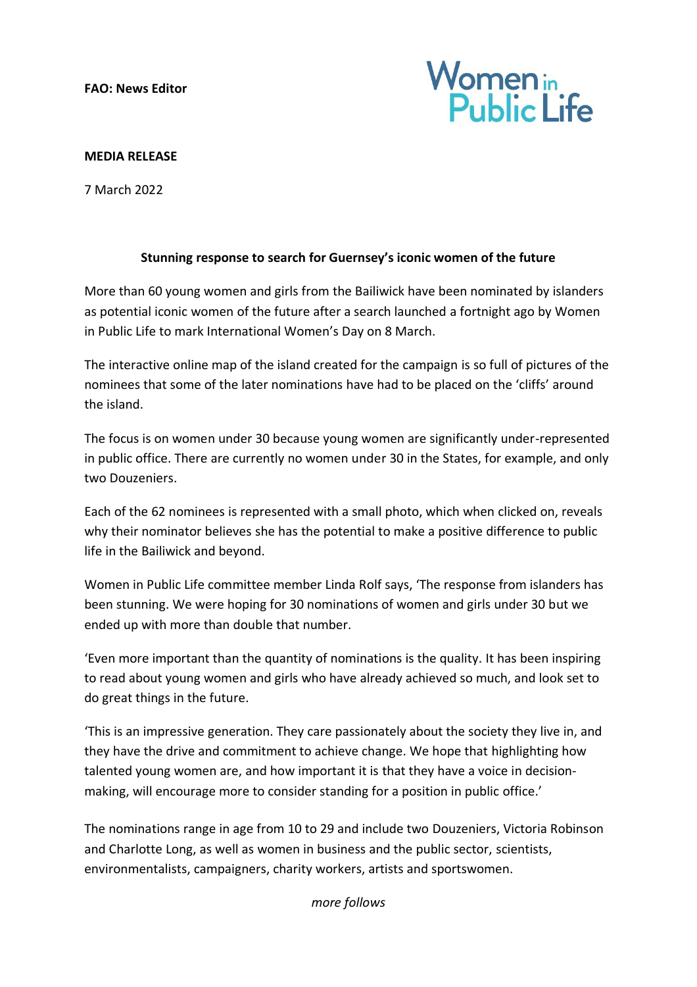**FAO: News Editor**



## **MEDIA RELEASE**

7 March 2022

## **Stunning response to search for Guernsey's iconic women of the future**

More than 60 young women and girls from the Bailiwick have been nominated by islanders as potential iconic women of the future after a search launched a fortnight ago by Women in Public Life to mark International Women's Day on 8 March.

The interactive online map of the island created for the campaign is so full of pictures of the nominees that some of the later nominations have had to be placed on the 'cliffs' around the island.

The focus is on women under 30 because young women are significantly under-represented in public office. There are currently no women under 30 in the States, for example, and only two Douzeniers.

Each of the 62 nominees is represented with a small photo, which when clicked on, reveals why their nominator believes she has the potential to make a positive difference to public life in the Bailiwick and beyond.

Women in Public Life committee member Linda Rolf says, 'The response from islanders has been stunning. We were hoping for 30 nominations of women and girls under 30 but we ended up with more than double that number.

'Even more important than the quantity of nominations is the quality. It has been inspiring to read about young women and girls who have already achieved so much, and look set to do great things in the future.

'This is an impressive generation. They care passionately about the society they live in, and they have the drive and commitment to achieve change. We hope that highlighting how talented young women are, and how important it is that they have a voice in decisionmaking, will encourage more to consider standing for a position in public office.'

The nominations range in age from 10 to 29 and include two Douzeniers, Victoria Robinson and Charlotte Long, as well as women in business and the public sector, scientists, environmentalists, campaigners, charity workers, artists and sportswomen.

*more follows*